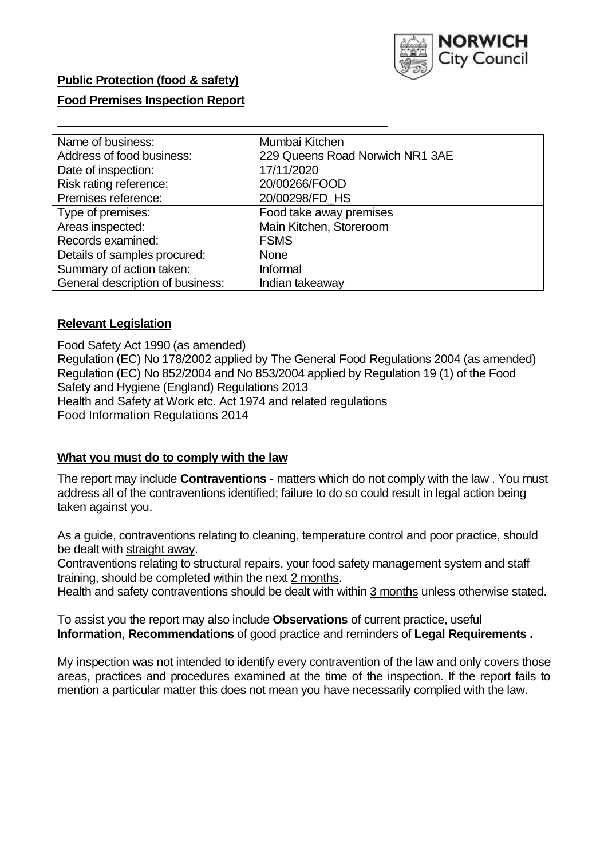

# **Public Protection (food & safety)**

## **Food Premises Inspection Report**

| Name of business:                | Mumbai Kitchen                  |
|----------------------------------|---------------------------------|
| Address of food business:        | 229 Queens Road Norwich NR1 3AE |
| Date of inspection:              | 17/11/2020                      |
| Risk rating reference:           | 20/00266/FOOD                   |
| Premises reference:              | 20/00298/FD_HS                  |
| Type of premises:                | Food take away premises         |
| Areas inspected:                 | Main Kitchen, Storeroom         |
| Records examined:                | <b>FSMS</b>                     |
| Details of samples procured:     | <b>None</b>                     |
| Summary of action taken:         | Informal                        |
| General description of business: | Indian takeaway                 |

#### **Relevant Legislation**

 Food Safety Act 1990 (as amended) Regulation (EC) No 178/2002 applied by The General Food Regulations 2004 (as amended) Regulation (EC) No 852/2004 and No 853/2004 applied by Regulation 19 (1) of the Food Safety and Hygiene (England) Regulations 2013 Health and Safety at Work etc. Act 1974 and related regulations Food Information Regulations 2014

#### **What you must do to comply with the law**

 The report may include **Contraventions** - matters which do not comply with the law . You must address all of the contraventions identified; failure to do so could result in legal action being taken against you.

 As a guide, contraventions relating to cleaning, temperature control and poor practice, should be dealt with straight away.

 Contraventions relating to structural repairs, your food safety management system and staff training, should be completed within the next 2 months.

Health and safety contraventions should be dealt with within 3 months unless otherwise stated.

 To assist you the report may also include **Observations** of current practice, useful **Information**, **Recommendations** of good practice and reminders of **Legal Requirements .** 

 My inspection was not intended to identify every contravention of the law and only covers those areas, practices and procedures examined at the time of the inspection. If the report fails to mention a particular matter this does not mean you have necessarily complied with the law.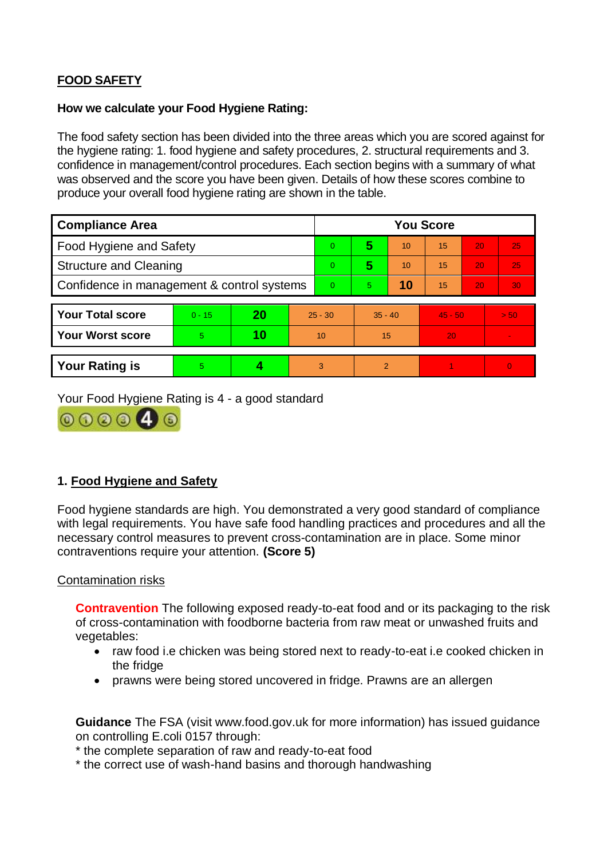# **FOOD SAFETY**

## **How we calculate your Food Hygiene Rating:**

 The food safety section has been divided into the three areas which you are scored against for the hygiene rating: 1. food hygiene and safety procedures, 2. structural requirements and 3. confidence in management/control procedures. Each section begins with a summary of what was observed and the score you have been given. Details of how these scores combine to produce your overall food hygiene rating are shown in the table.

| <b>Compliance Area</b>                     |          |    |           | <b>You Score</b> |                |    |                 |    |          |  |  |
|--------------------------------------------|----------|----|-----------|------------------|----------------|----|-----------------|----|----------|--|--|
| Food Hygiene and Safety                    |          |    |           | $\overline{0}$   | 5              | 10 | $\overline{15}$ | 20 | 25       |  |  |
| <b>Structure and Cleaning</b>              |          |    | $\Omega$  | 5                | 10             | 15 | 20              | 25 |          |  |  |
| Confidence in management & control systems |          |    | $\Omega$  | 5                | 10             | 15 | 20              | 30 |          |  |  |
|                                            |          |    |           |                  |                |    |                 |    |          |  |  |
| <b>Your Total score</b>                    | $0 - 15$ | 20 | $25 - 30$ |                  | $35 - 40$      |    | $45 - 50$       |    | > 50     |  |  |
| <b>Your Worst score</b>                    | 5        | 10 | 10        |                  | 15             |    | 20              |    |          |  |  |
|                                            |          |    |           |                  |                |    |                 |    |          |  |  |
| <b>Your Rating is</b>                      | 5        |    |           | 3                | $\overline{2}$ |    |                 |    | $\Omega$ |  |  |

Your Food Hygiene Rating is 4 - a good standard



# **1. Food Hygiene and Safety**

 with legal requirements. You have safe food handling practices and procedures and all the Food hygiene standards are high. You demonstrated a very good standard of compliance necessary control measures to prevent cross-contamination are in place. Some minor contraventions require your attention. **(Score 5)** 

## Contamination risks

 of cross-contamination with foodborne bacteria from raw meat or unwashed fruits and **Contravention** The following exposed ready-to-eat food and or its packaging to the risk vegetables:

- raw food i.e chicken was being stored next to ready-to-eat i.e cooked chicken in the fridge
- prawns were being stored uncovered in fridge. Prawns are an allergen

**Guidance** The FSA (visit www.food.gov.uk for more information) has issued guidance on controlling E.coli 0157 through:

\* the complete separation of raw and ready-to-eat food

\* the correct use of wash-hand basins and thorough handwashing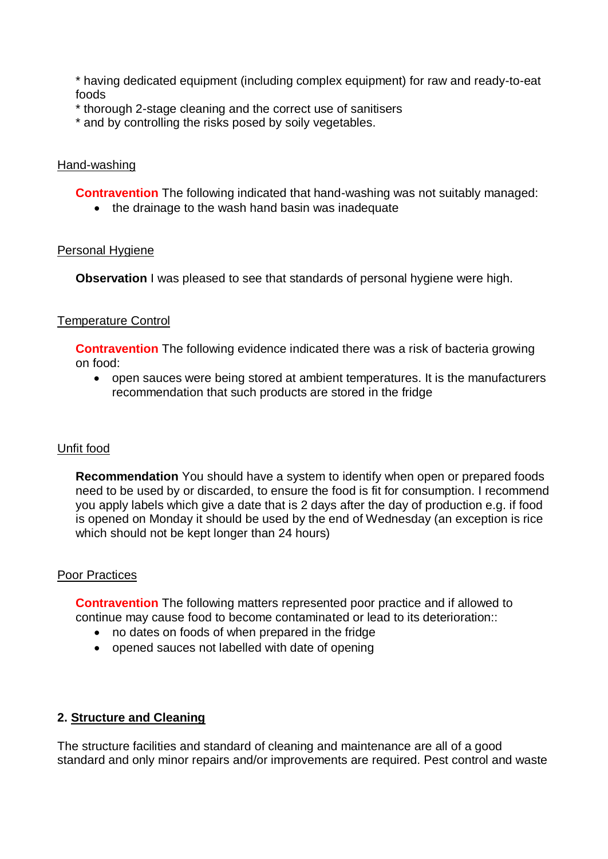\* having dedicated equipment (including complex equipment) for raw and ready-to-eat foods

- \* thorough 2-stage cleaning and the correct use of sanitisers
- \* and by controlling the risks posed by soily vegetables.

#### Hand-washing

**Contravention** The following indicated that hand-washing was not suitably managed:

• the drainage to the wash hand basin was inadequate

#### Personal Hygiene

**Observation** I was pleased to see that standards of personal hygiene were high.

#### Temperature Control

**Contravention** The following evidence indicated there was a risk of bacteria growing on food:

 open sauces were being stored at ambient temperatures. It is the manufacturers recommendation that such products are stored in the fridge

## Unfit food

 **Recommendation** You should have a system to identify when open or prepared foods you apply labels which give a date that is 2 days after the day of production e.g. if food is opened on Monday it should be used by the end of Wednesday (an exception is rice need to be used by or discarded, to ensure the food is fit for consumption. I recommend which should not be kept longer than 24 hours)

#### Poor Practices

 continue may cause food to become contaminated or lead to its deterioration:: **Contravention** The following matters represented poor practice and if allowed to

- no dates on foods of when prepared in the fridge
- opened sauces not labelled with date of opening

## **2. Structure and Cleaning**

The structure facilities and standard of cleaning and maintenance are all of a good standard and only minor repairs and/or improvements are required. Pest control and waste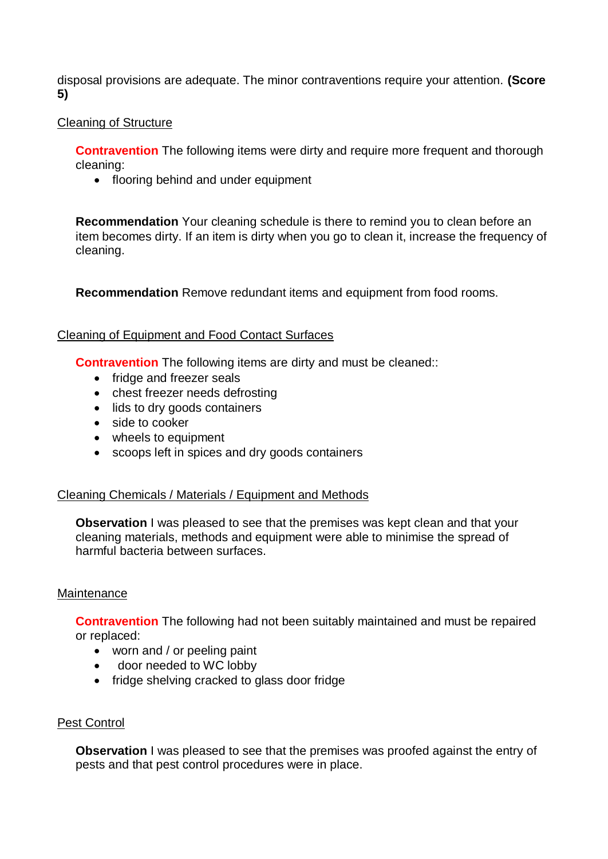disposal provisions are adequate. The minor contraventions require your attention. **(Score 5)** 

## Cleaning of Structure

**Contravention** The following items were dirty and require more frequent and thorough cleaning:

• flooring behind and under equipment

 **Recommendation** Your cleaning schedule is there to remind you to clean before an item becomes dirty. If an item is dirty when you go to clean it, increase the frequency of cleaning.

**Recommendation** Remove redundant items and equipment from food rooms.

# Cleaning of Equipment and Food Contact Surfaces

**Contravention** The following items are dirty and must be cleaned::

- fridge and freezer seals
- chest freezer needs defrosting
- lids to dry goods containers
- side to cooker
- wheels to equipment
- scoops left in spices and dry goods containers

## Cleaning Chemicals / Materials / Equipment and Methods

**Observation** I was pleased to see that the premises was kept clean and that your cleaning materials, methods and equipment were able to minimise the spread of harmful bacteria between surfaces.

## **Maintenance**

**Contravention** The following had not been suitably maintained and must be repaired or replaced:

- worn and / or peeling paint
- door needed to WC lobby
- fridge shelving cracked to glass door fridge

## Pest Control

**Observation** I was pleased to see that the premises was proofed against the entry of pests and that pest control procedures were in place.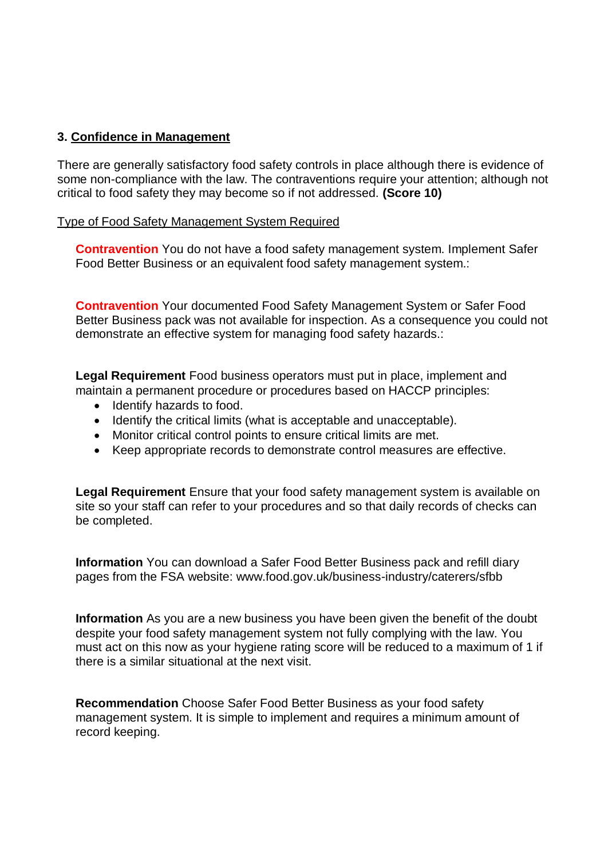# **3. Confidence in Management**

 There are generally satisfactory food safety controls in place although there is evidence of some non-compliance with the law. The contraventions require your attention; although not critical to food safety they may become so if not addressed. **(Score 10)** 

#### Type of Food Safety Management System Required

**Contravention** You do not have a food safety management system. Implement Safer Food Better Business or an equivalent food safety management system.:

**Contravention** Your documented Food Safety Management System or Safer Food Better Business pack was not available for inspection. As a consequence you could not demonstrate an effective system for managing food safety hazards.:

**Legal Requirement** Food business operators must put in place, implement and maintain a permanent procedure or procedures based on HACCP principles:

- Identify hazards to food.
- Identify the critical limits (what is acceptable and unacceptable).
- Monitor critical control points to ensure critical limits are met.
- Keep appropriate records to demonstrate control measures are effective.

 **Legal Requirement** Ensure that your food safety management system is available on site so your staff can refer to your procedures and so that daily records of checks can be completed.

**Information** You can download a Safer Food Better Business pack and refill diary pages from the FSA website: <www.food.gov.uk/business-industry/caterers/sfbb>

 **Information** As you are a new business you have been given the benefit of the doubt despite your food safety management system not fully complying with the law. You must act on this now as your hygiene rating score will be reduced to a maximum of 1 if there is a similar situational at the next visit.

**Recommendation** Choose Safer Food Better Business as your food safety management system. It is simple to implement and requires a minimum amount of record keeping.